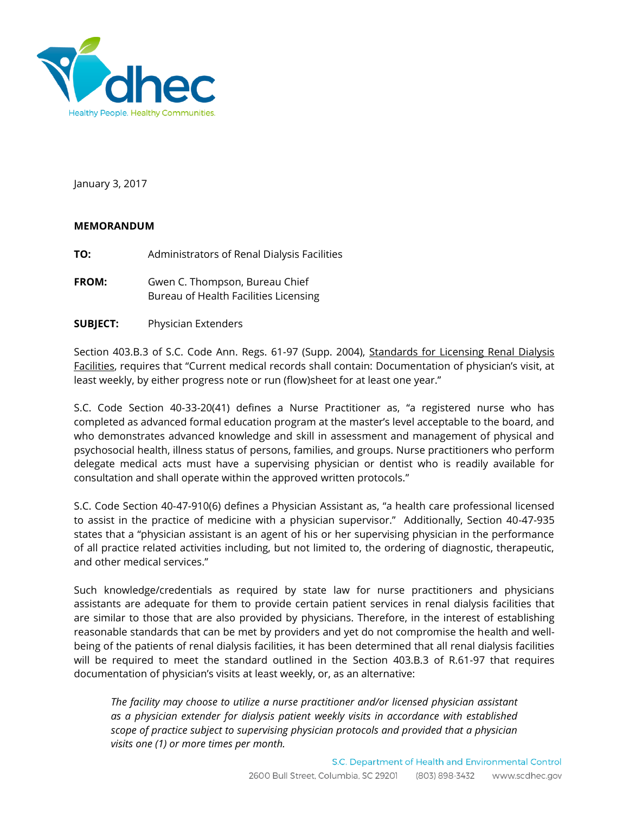

January 3, 2017

## **MEMORANDUM**

**TO:** Administrators of Renal Dialysis Facilities

- FROM: Gwen C. Thompson, Bureau Chief Bureau of Health Facilities Licensing
- **SUBJECT:** Physician Extenders

Section 403.B.3 of S.C. Code Ann. Regs. 61-97 (Supp. 2004), Standards for Licensing Renal Dialysis Facilities, requires that "Current medical records shall contain: Documentation of physician's visit, at least weekly, by either progress note or run (flow)sheet for at least one year."

S.C. Code Section 40-33-20(41) defines a Nurse Practitioner as, "a registered nurse who has completed as advanced formal education program at the master's level acceptable to the board, and who demonstrates advanced knowledge and skill in assessment and management of physical and psychosocial health, illness status of persons, families, and groups. Nurse practitioners who perform delegate medical acts must have a supervising physician or dentist who is readily available for consultation and shall operate within the approved written protocols."

S.C. Code Section 40-47-910(6) defines a Physician Assistant as, "a health care professional licensed to assist in the practice of medicine with a physician supervisor." Additionally, Section 40-47-935 states that a "physician assistant is an agent of his or her supervising physician in the performance of all practice related activities including, but not limited to, the ordering of diagnostic, therapeutic, and other medical services."

Such knowledge/credentials as required by state law for nurse practitioners and physicians assistants are adequate for them to provide certain patient services in renal dialysis facilities that are similar to those that are also provided by physicians. Therefore, in the interest of establishing reasonable standards that can be met by providers and yet do not compromise the health and wellbeing of the patients of renal dialysis facilities, it has been determined that all renal dialysis facilities will be required to meet the standard outlined in the Section 403.B.3 of R.61-97 that requires documentation of physician's visits at least weekly, or, as an alternative:

*The facility may choose to utilize a nurse practitioner and/or licensed physician assistant as a physician extender for dialysis patient weekly visits in accordance with established scope of practice subject to supervising physician protocols and provided that a physician visits one (1) or more times per month.*